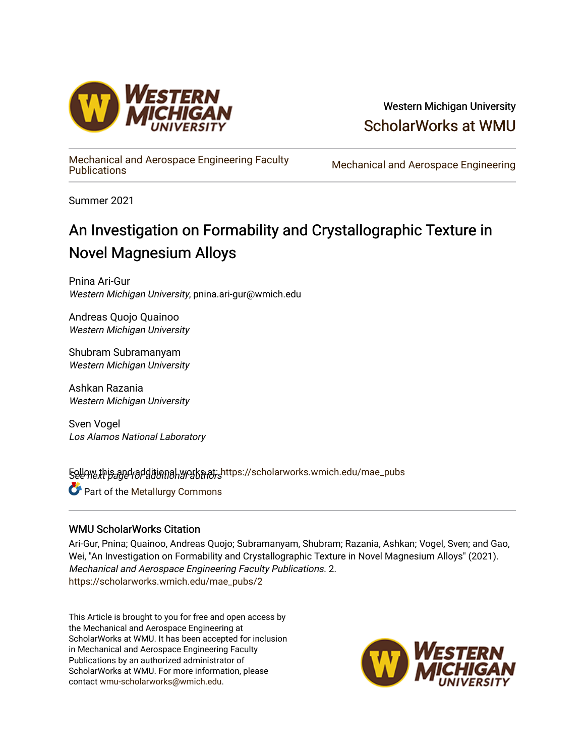

# Western Michigan University [ScholarWorks at WMU](https://scholarworks.wmich.edu/)

[Mechanical and Aerospace Engineering Faculty](https://scholarworks.wmich.edu/mae_pubs) 

Mechanical and Aerospace Engineering

Summer 2021

# An Investigation on Formability and Crystallographic Texture in Novel Magnesium Alloys

Pnina Ari-Gur Western Michigan University, pnina.ari-gur@wmich.edu

Andreas Quojo Quainoo Western Michigan University

Shubram Subramanyam Western Michigan University

Ashkan Razania Western Michigan University

Sven Vogel Los Alamos National Laboratory

5ellow this and additional works at: [https://scholarworks.wmich.edu/mae\\_pubs](https://scholarworks.wmich.edu/mae_pubs?utm_source=scholarworks.wmich.edu%2Fmae_pubs%2F2&utm_medium=PDF&utm_campaign=PDFCoverPages)

**Part of the Metallurgy Commons** 

### WMU ScholarWorks Citation

Ari-Gur, Pnina; Quainoo, Andreas Quojo; Subramanyam, Shubram; Razania, Ashkan; Vogel, Sven; and Gao, Wei, "An Investigation on Formability and Crystallographic Texture in Novel Magnesium Alloys" (2021). Mechanical and Aerospace Engineering Faculty Publications. 2. [https://scholarworks.wmich.edu/mae\\_pubs/2](https://scholarworks.wmich.edu/mae_pubs/2?utm_source=scholarworks.wmich.edu%2Fmae_pubs%2F2&utm_medium=PDF&utm_campaign=PDFCoverPages) 

This Article is brought to you for free and open access by the Mechanical and Aerospace Engineering at ScholarWorks at WMU. It has been accepted for inclusion in Mechanical and Aerospace Engineering Faculty Publications by an authorized administrator of ScholarWorks at WMU. For more information, please contact [wmu-scholarworks@wmich.edu](mailto:wmu-scholarworks@wmich.edu).

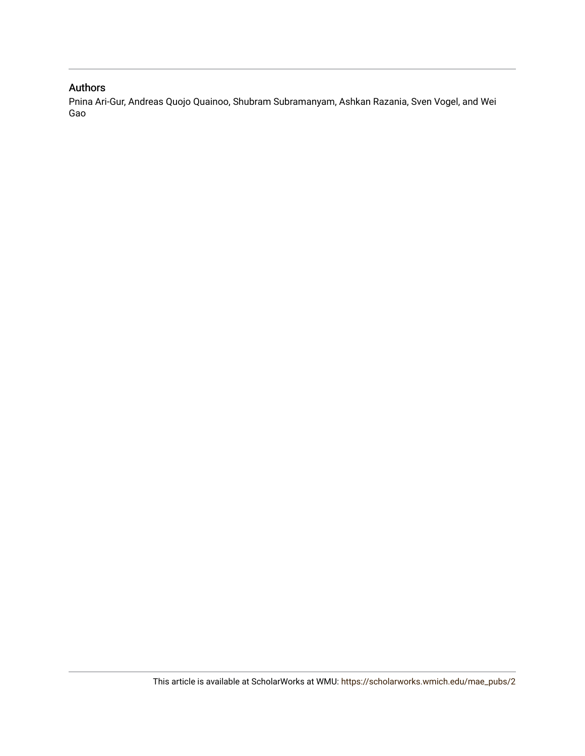## Authors

Pnina Ari-Gur, Andreas Quojo Quainoo, Shubram Subramanyam, Ashkan Razania, Sven Vogel, and Wei Gao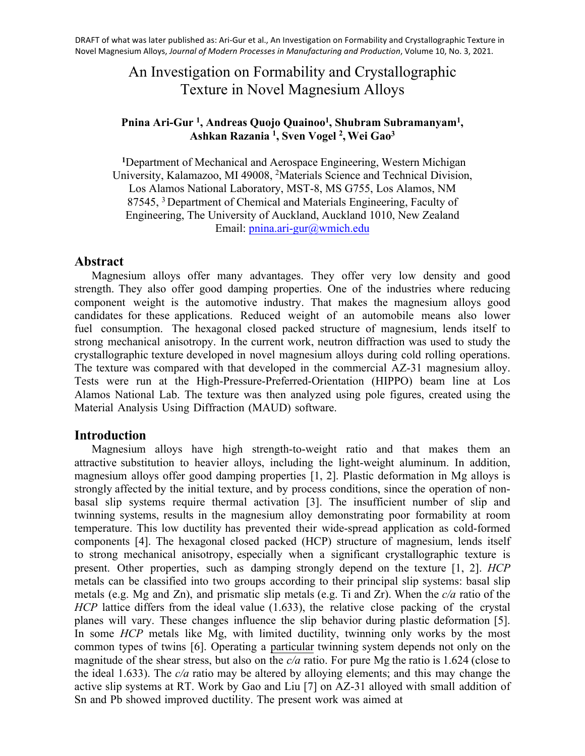# An Investigation on Formability and Crystallographic Texture in Novel Magnesium Alloys

### **Pnina Ari-Gur 1 , Andreas Quojo Quainoo<sup>1</sup> , Shubram Subramanyam<sup>1</sup> , Ashkan Razania <sup>1</sup> , Sven Vogel <sup>2</sup> ,Wei Gao<sup>3</sup>**

**<sup>1</sup>**Department of Mechanical and Aerospace Engineering, Western Michigan University, Kalamazoo, MI 49008, <sup>2</sup>Materials Science and Technical Division, Los Alamos National Laboratory, MST-8, MS G755, Los Alamos, NM 87545, <sup>3</sup> Department of Chemical and Materials Engineering, Faculty of Engineering, The Univer[sity of Auckland, Auckland](mailto:pnina.ari-gur@wmich.edu) 1010, New Zealand Email: pnina.ari-gur@wmich.edu

### **Abstract**

Magnesium alloys offer many advantages. They offer very low density and good strength. They also offer good damping properties. One of the industries where reducing component weight is the automotive industry. That makes the magnesium alloys good candidates for these applications. Reduced weight of an automobile means also lower fuel consumption. The hexagonal closed packed structure of magnesium, lends itself to strong mechanical anisotropy. In the current work, neutron diffraction was used to study the crystallographic texture developed in novel magnesium alloys during cold rolling operations. The texture was compared with that developed in the commercial AZ-31 magnesium alloy. Tests were run at the High-Pressure-Preferred-Orientation (HIPPO) beam line at Los Alamos National Lab. The texture was then analyzed using pole figures, created using the Material Analysis Using Diffraction (MAUD) software.

### **Introduction**

Magnesium alloys have high strength-to-weight ratio and that makes them an attractive substitution to heavier alloys, including the light-weight aluminum. In addition, magnesium alloys offer good damping properties [1, 2]. Plastic deformation in Mg alloys is strongly affected by the initial texture, and by process conditions, since the operation of nonbasal slip systems require thermal activation [3]. The insufficient number of slip and twinning systems, results in the magnesium alloy demonstrating poor formability at room temperature. This low ductility has prevented their wide-spread application as cold-formed components [4]. The hexagonal closed packed (HCP) structure of magnesium, lends itself to strong mechanical anisotropy, especially when a significant crystallographic texture is present. Other properties, such as damping strongly depend on the texture [1, 2]. *HCP* metals can be classified into two groups according to their principal slip systems: basal slip metals (e.g. Mg and Zn), and prismatic slip metals (e.g. Ti and Zr). When the *c/a* ratio of the *HCP* lattice differs from the ideal value (1.633), the relative close packing of the crystal planes will vary. These changes influence the slip behavior during plastic deformation [5]. In some *HCP* metals like Mg, with limited ductility, twinning only works by the most common types of twins [6]. Operating a particular twinning system depends not only on the magnitude of the shear stress, but also on the *c/a* ratio. For pure Mg the ratio is 1.624 (close to the ideal 1.633). The *c/a* ratio may be altered by alloying elements; and this may change the active slip systems at RT. Work by Gao and Liu [7] on AZ-31 alloyed with small addition of Sn and Pb showed improved ductility. The present work was aimed at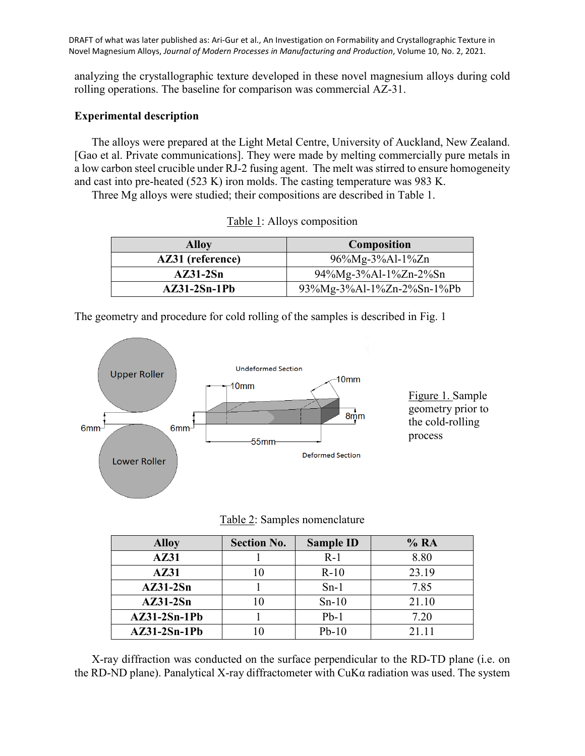analyzing the crystallographic texture developed in these novel magnesium alloys during cold rolling operations. The baseline for comparison was commercial AZ-31.

#### **Experimental description**

The alloys were prepared at the Light Metal Centre, University of Auckland, New Zealand. [Gao et al. Private communications]. They were made by melting commercially pure metals in a low carbon steel crucible under RJ-2 fusing agent. The melt was stirred to ensure homogeneity and cast into pre-heated (523 K) iron molds. The casting temperature was 983 K.

Three Mg alloys were studied; their compositions are described in Table 1.

| <b>Alloy</b>     | <b>Composition</b>        |  |
|------------------|---------------------------|--|
| AZ31 (reference) | $96\%Mg-3\%Al-1\%Zn$      |  |
| $AZ31-2Sn$       | 94%Mg-3%Al-1%Zn-2%Sn      |  |
| $AZ31-2Sn-1Pb$   | 93%Mg-3%Al-1%Zn-2%Sn-1%Pb |  |

| $Table 1$ : Alloys composition |  |
|--------------------------------|--|
|--------------------------------|--|

The geometry and procedure for cold rolling of the samples is described in Fig. 1



Table 2: Samples nomenclature

| <b>Alloy</b>   | <b>Section No.</b> | <b>Sample ID</b> | % RA  |
|----------------|--------------------|------------------|-------|
| AZ31           |                    | $R-1$            | 8.80  |
| AZ31           |                    | $R-10$           | 23.19 |
| $AZ31-2Sn$     |                    | $Sn-1$           | 7.85  |
| $AZ31-2Sn$     | l ()               | $Sn-10$          | 21.10 |
| $AZ31-2Sn-1Pb$ |                    | $Pb-1$           | 7.20  |
| $AZ31-2Sn-1Pb$ |                    | $Pb-10$          | 21 11 |

X-ray diffraction was conducted on the surface perpendicular to the RD-TD plane (i.e. on the RD-ND plane). Panalytical X-ray diffractometer with CuKα radiation was used. The system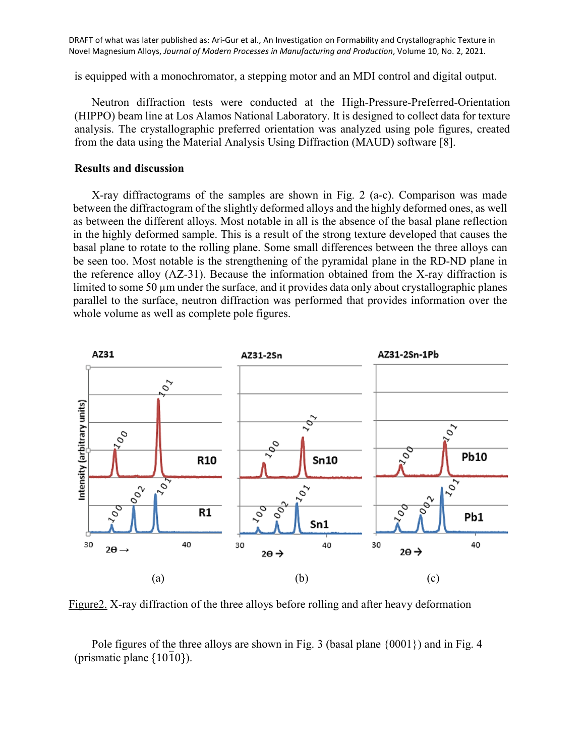is equipped with a monochromator, a stepping motor and an MDI control and digital output.

Neutron diffraction tests were conducted at the High-Pressure-Preferred-Orientation (HIPPO) beam line at Los Alamos National Laboratory. It is designed to collect data for texture analysis. The crystallographic preferred orientation was analyzed using pole figures, created from the data using the Material Analysis Using Diffraction (MAUD) software [8].

#### **Results and discussion**

X-ray diffractograms of the samples are shown in Fig. 2 (a-c). Comparison was made between the diffractogram of the slightly deformed alloys and the highly deformed ones, as well as between the different alloys. Most notable in all is the absence of the basal plane reflection in the highly deformed sample. This is a result of the strong texture developed that causes the basal plane to rotate to the rolling plane. Some small differences between the three alloys can be seen too. Most notable is the strengthening of the pyramidal plane in the RD-ND plane in the reference alloy (AZ-31). Because the information obtained from the X-ray diffraction is limited to some 50 µm under the surface, and it provides data only about crystallographic planes parallel to the surface, neutron diffraction was performed that provides information over the whole volume as well as complete pole figures.



Figure2. X-ray diffraction of the three alloys before rolling and after heavy deformation

Pole figures of the three alloys are shown in Fig. 3 (basal plane {0001}) and in Fig. 4 (prismatic plane  $\{10\overline{1}0\}$ ).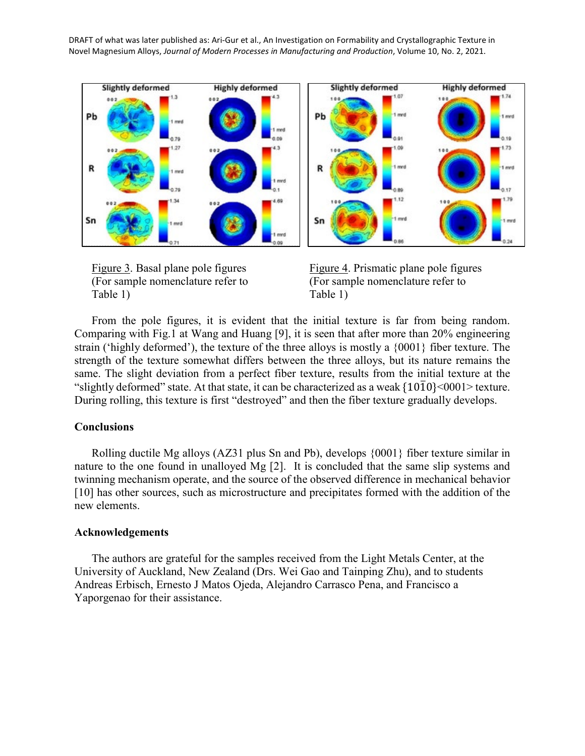



From the pole figures, it is evident that the initial texture is far from being random. Comparing with Fig.1 at Wang and Huang [9], it is seen that after more than 20% engineering strain ('highly deformed'), the texture of the three alloys is mostly a {0001} fiber texture. The strength of the texture somewhat differs between the three alloys, but its nature remains the same. The slight deviation from a perfect fiber texture, results from the initial texture at the "slightly deformed" state. At that state, it can be characterized as a weak  $\{10\overline{10}\}$ <0001> texture. During rolling, this texture is first "destroyed" and then the fiber texture gradually develops.

#### **Conclusions**

Rolling ductile Mg alloys (AZ31 plus Sn and Pb), develops {0001} fiber texture similar in nature to the one found in unalloyed Mg [2]. It is concluded that the same slip systems and twinning mechanism operate, and the source of the observed difference in mechanical behavior [10] has other sources, such as microstructure and precipitates formed with the addition of the new elements.

#### **Acknowledgements**

The authors are grateful for the samples received from the Light Metals Center, at the University of Auckland, New Zealand (Drs. Wei Gao and Tainping Zhu), and to students Andreas Erbisch, Ernesto J Matos Ojeda, Alejandro Carrasco Pena, and Francisco a Yaporgenao for their assistance.